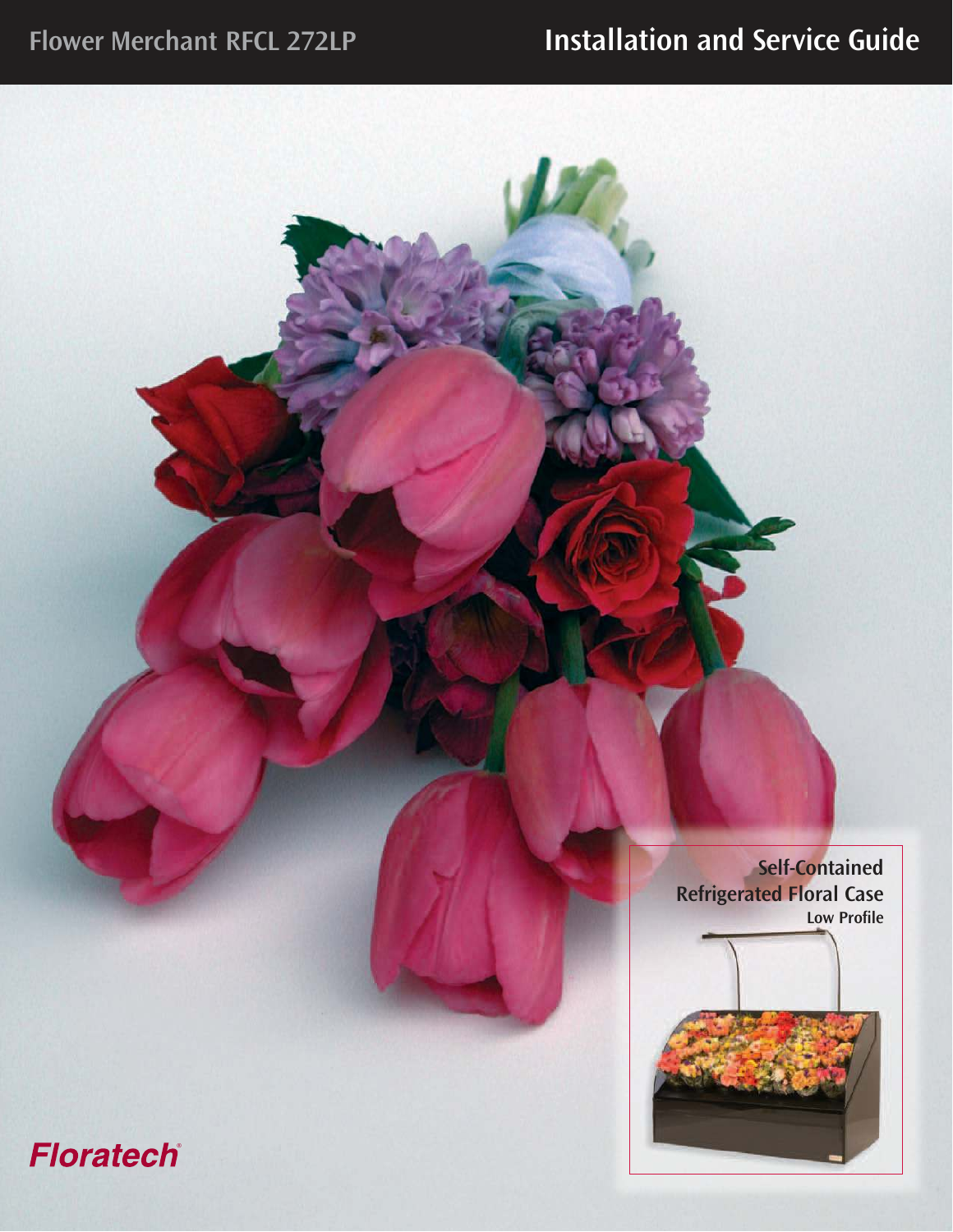**Self-Contained Refrigerated Floral Case Low Profile**

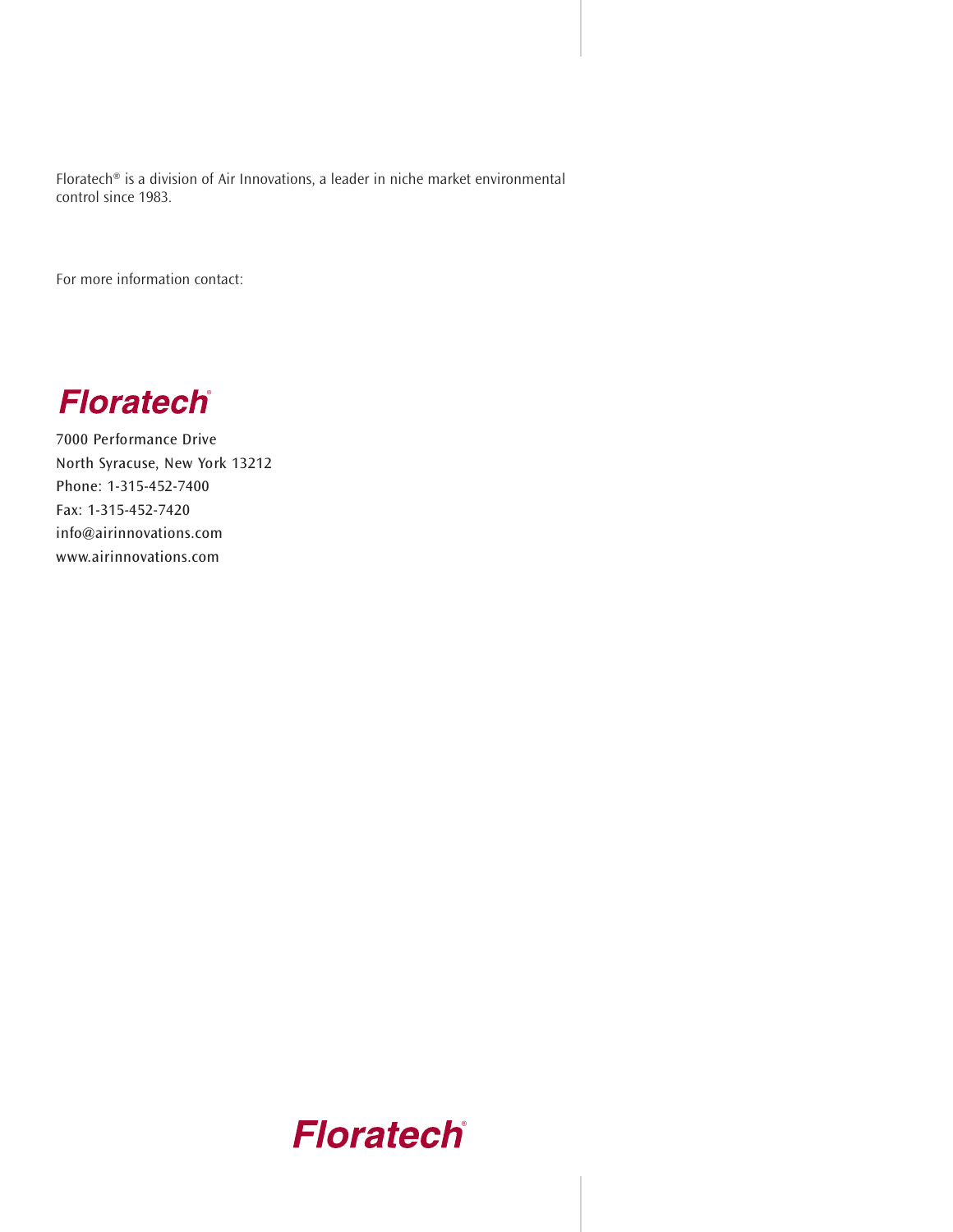Floratech® is a division of Air Innovations, a leader in niche market environmental control since 1983.

For more information contact:

**Floratech**®

7000 Performance Drive North Syracuse, New York 13212 Phone: 1-315-452-7400 Fax: 1-315-452-7420 info@airinnovations.com www.airinnovations.com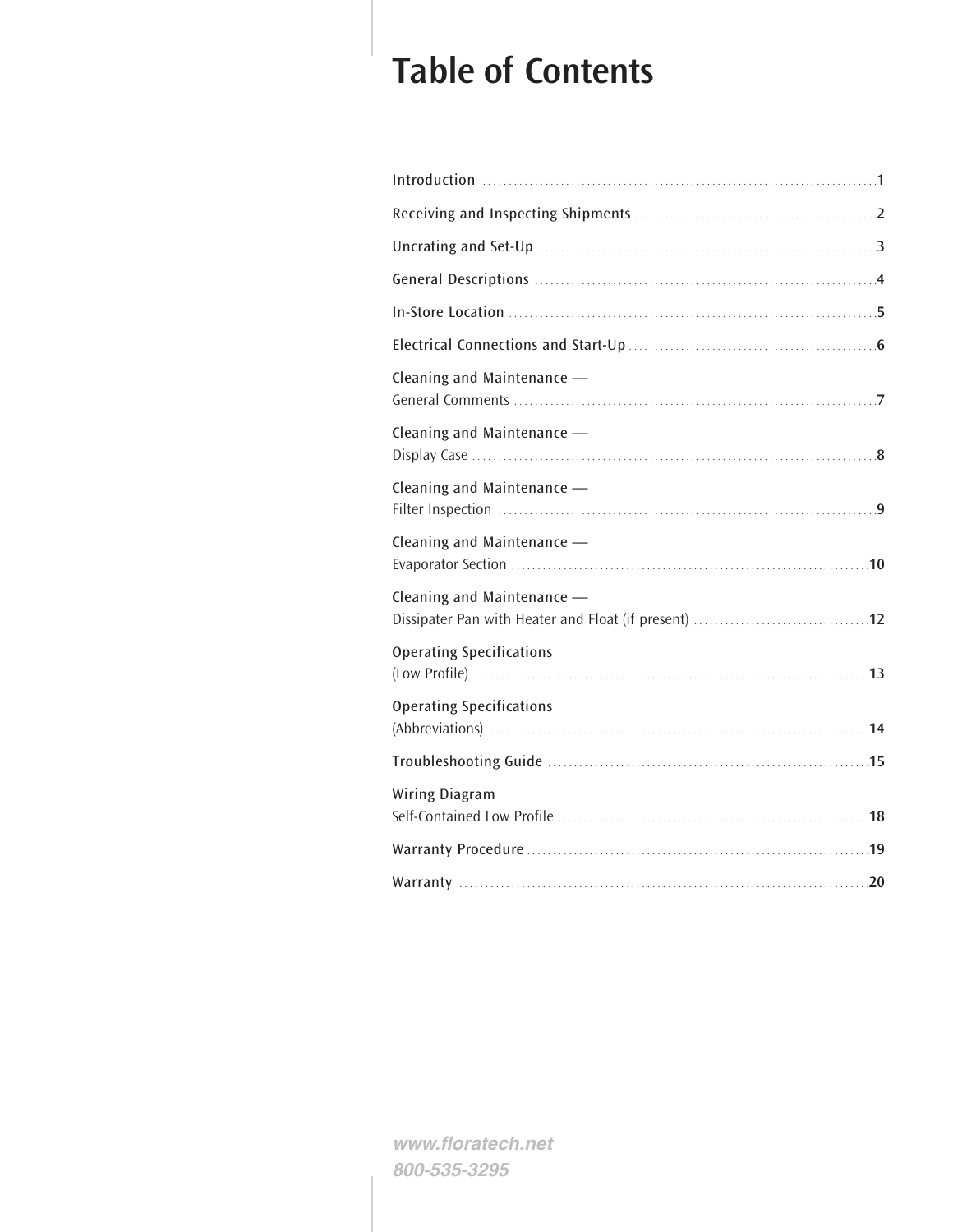# **Table of Contents**

| Cleaning and Maintenance -      |  |
|---------------------------------|--|
| Cleaning and Maintenance -      |  |
| Cleaning and Maintenance -      |  |
| Cleaning and Maintenance -      |  |
| Cleaning and Maintenance -      |  |
| <b>Operating Specifications</b> |  |
| <b>Operating Specifications</b> |  |
|                                 |  |
| Wiring Diagram                  |  |
|                                 |  |
|                                 |  |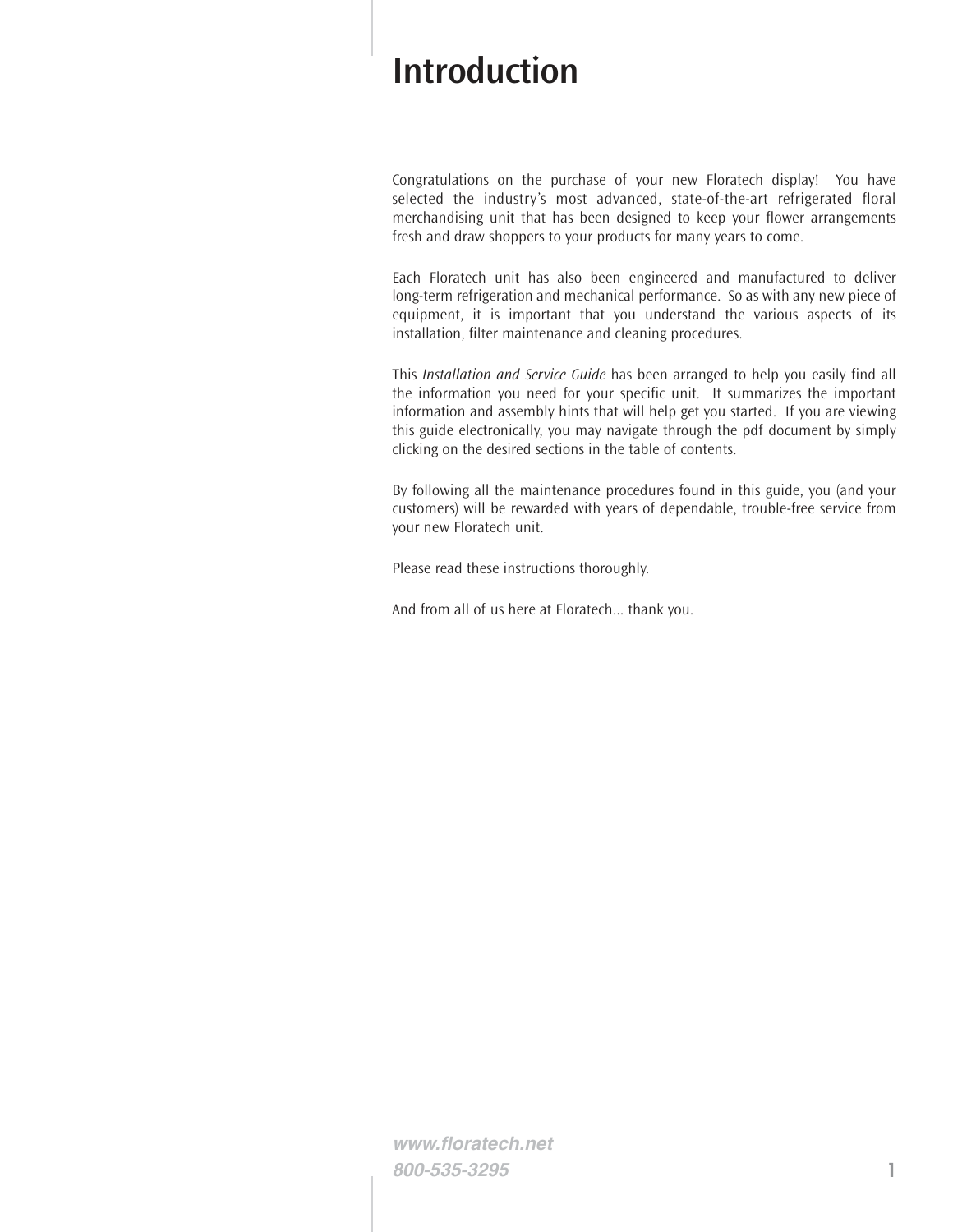## **Introduction**

Congratulations on the purchase of your new Floratech display! You have selected the industry's most advanced, state-of-the-art refrigerated floral merchandising unit that has been designed to keep your flower arrangements fresh and draw shoppers to your products for many years to come.

Each Floratech unit has also been engineered and manufactured to deliver long-term refrigeration and mechanical performance. So as with any new piece of equipment, it is important that you understand the various aspects of its installation, filter maintenance and cleaning procedures.

This *Installation and Service Guide* has been arranged to help you easily find all the information you need for your specific unit. It summarizes the important information and assembly hints that will help get you started. If you are viewing this guide electronically, you may navigate through the pdf document by simply clicking on the desired sections in the table of contents.

By following all the maintenance procedures found in this guide, you (and your customers) will be rewarded with years of dependable, trouble-free service from your new Floratech unit.

Please read these instructions thoroughly.

And from all of us here at Floratech... thank you.

**www.floratech.net 800-535-3295 1**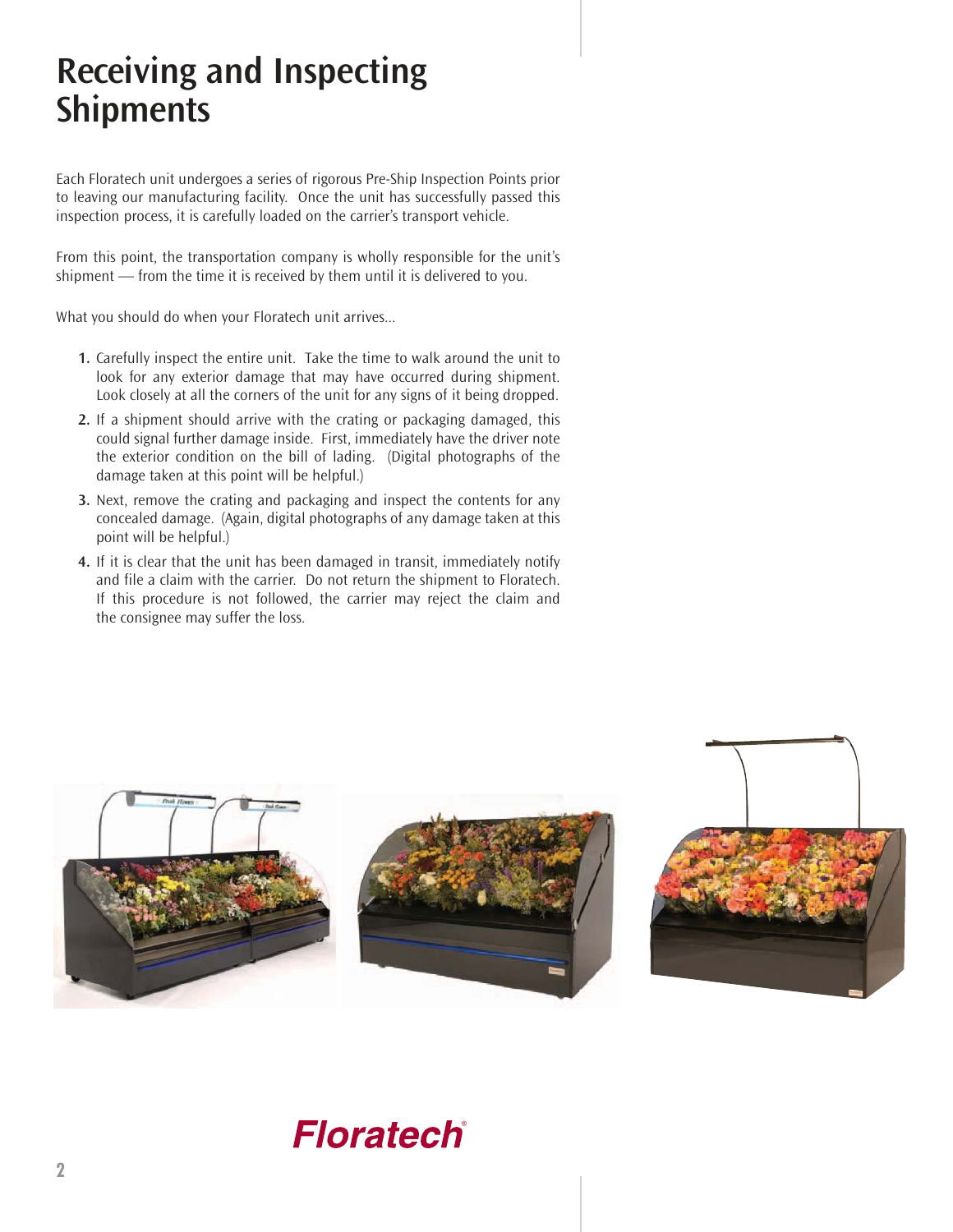# **Receiving and Inspecting Shipments**

Each Floratech unit undergoes a series of rigorous Pre-Ship Inspection Points prior to leaving our manufacturing facility. Once the unit has successfully passed this inspection process, it is carefully loaded on the carrier's transport vehicle.

From this point, the transportation company is wholly responsible for the unit's shipment — from the time it is received by them until it is delivered to you.

What you should do when your Floratech unit arrives...

- **1.** Carefully inspect the entire unit. Take the time to walk around the unit to look for any exterior damage that may have occurred during shipment. Look closely at all the corners of the unit for any signs of it being dropped.
- **2.** If a shipment should arrive with the crating or packaging damaged, this could signal further damage inside. First, immediately have the driver note the exterior condition on the bill of lading. (Digital photographs of the damage taken at this point will be helpful.)
- **3.** Next, remove the crating and packaging and inspect the contents for any concealed damage. (Again, digital photographs of any damage taken at this point will be helpful.)
- **4.** If it is clear that the unit has been damaged in transit, immediately notify and file a claim with the carrier. Do not return the shipment to Floratech. If this procedure is not followed, the carrier may reject the claim and the consignee may suffer the loss.

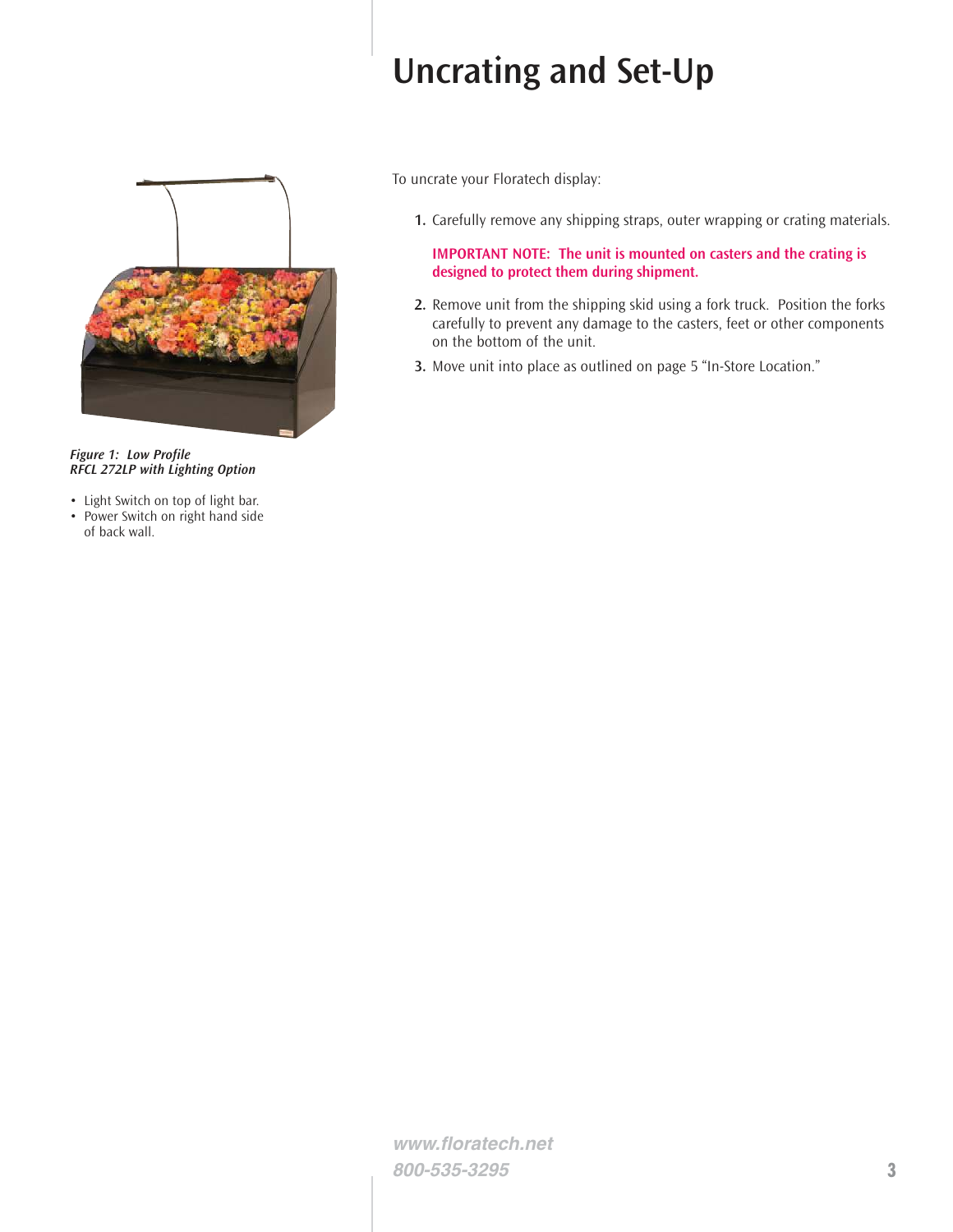# **Uncrating and Set-Up**



*Figure 1: Low Profile RFCL 272LP with Lighting Option*

- Light Switch on top of light bar.
- Power Switch on right hand side of back wall.

To uncrate your Floratech display:

**1.** Carefully remove any shipping straps, outer wrapping or crating materials.

**IMPORTANT NOTE: The unit is mounted on casters and the crating is designed to protect them during shipment.**

- **2.** Remove unit from the shipping skid using a fork truck. Position the forks carefully to prevent any damage to the casters, feet or other components on the bottom of the unit.
- **3.** Move unit into place as outlined on page 5 "In-Store Location."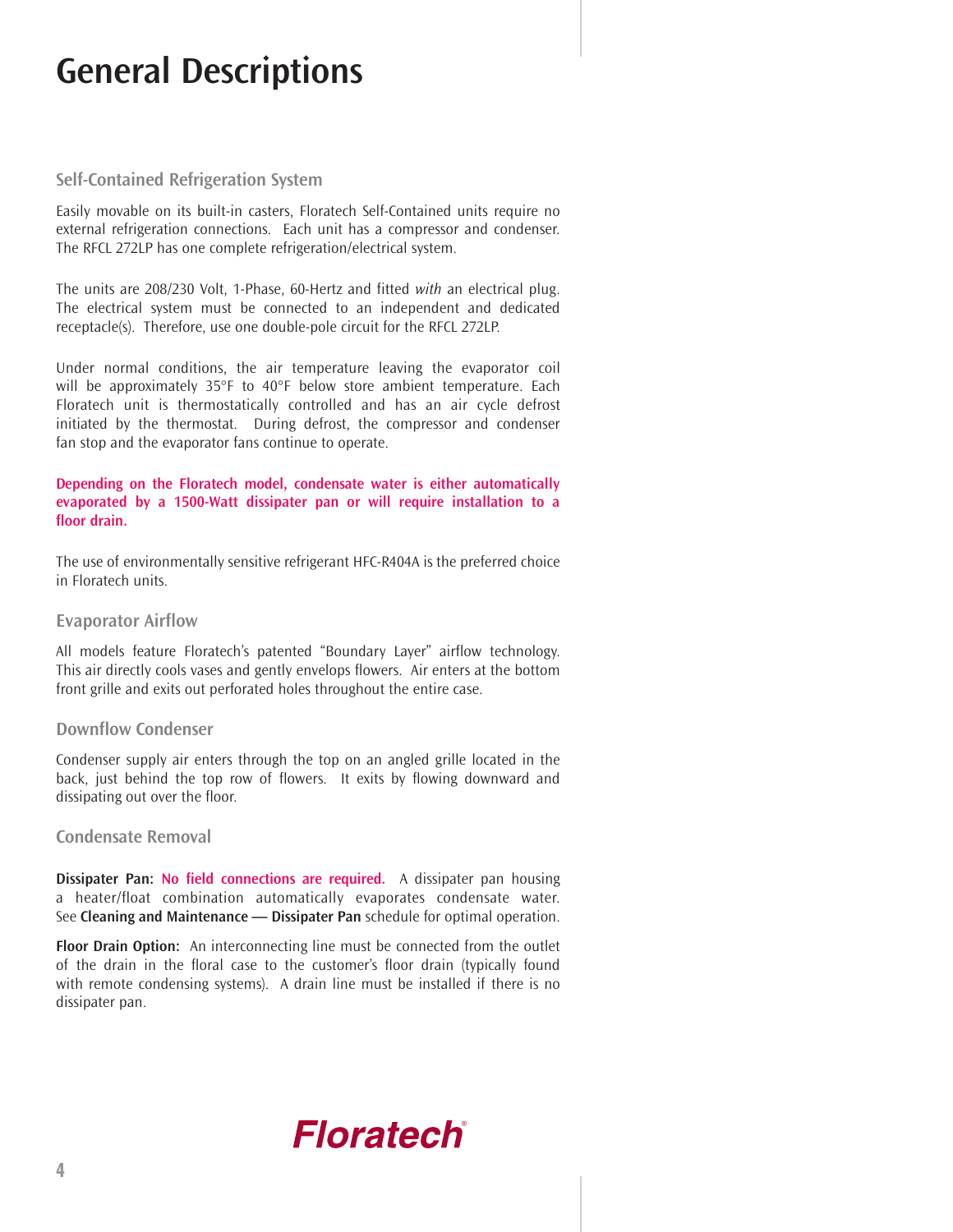# **General Descriptions**

#### **Self-Contained Refrigeration System**

Easily movable on its built-in casters, Floratech Self-Contained units require no external refrigeration connections. Each unit has a compressor and condenser. The RFCL 272LP has one complete refrigeration/electrical system.

The units are 208/230 Volt, 1-Phase, 60-Hertz and fitted *with* an electrical plug. The electrical system must be connected to an independent and dedicated receptacle(s). Therefore, use one double-pole circuit for the RFCL 272LP.

Under normal conditions, the air temperature leaving the evaporator coil will be approximately 35°F to 40°F below store ambient temperature. Each Floratech unit is thermostatically controlled and has an air cycle defrost initiated by the thermostat. During defrost, the compressor and condenser fan stop and the evaporator fans continue to operate.

#### **Depending on the Floratech model, condensate water is either automatically evaporated by a 1500-Watt dissipater pan or will require installation to a floor drain.**

The use of environmentally sensitive refrigerant HFC-R404A is the preferred choice in Floratech units.

#### **Evaporator Airflow**

All models feature Floratech's patented "Boundary Layer" airflow technology. This air directly cools vases and gently envelops flowers. Air enters at the bottom front grille and exits out perforated holes throughout the entire case.

#### **Downflow Condenser**

Condenser supply air enters through the top on an angled grille located in the back, just behind the top row of flowers. It exits by flowing downward and dissipating out over the floor.

#### **Condensate Removal**

**Dissipater Pan: No field connections are required.** A dissipater pan housing a heater/float combination automatically evaporates condensate water. See **Cleaning and Maintenance — Dissipater Pan** schedule for optimal operation.

**Floor Drain Option:** An interconnecting line must be connected from the outlet of the drain in the floral case to the customer's floor drain (typically found with remote condensing systems). A drain line must be installed if there is no dissipater pan.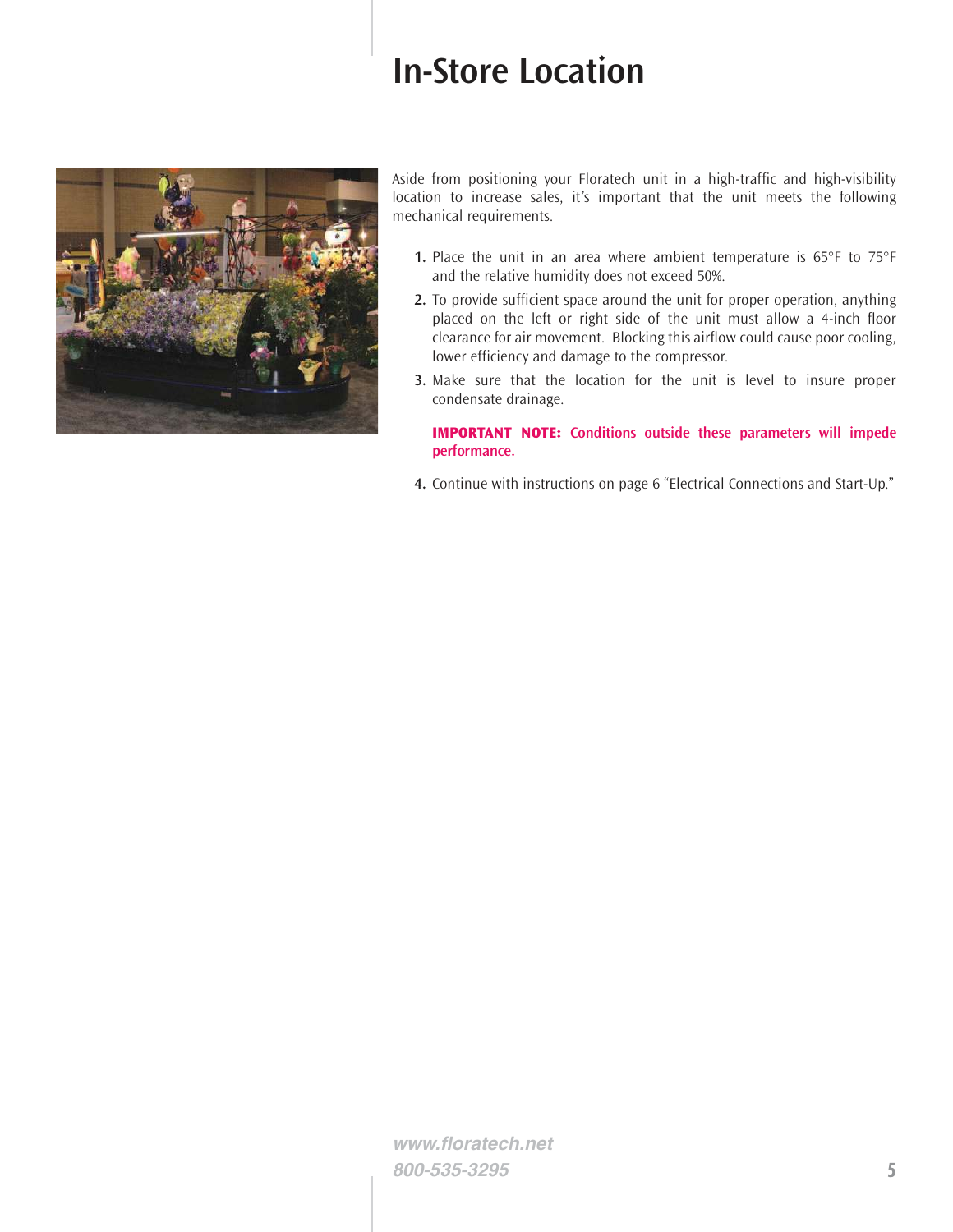# **In-Store Location**



Aside from positioning your Floratech unit in a high-traffic and high-visibility location to increase sales, it's important that the unit meets the following mechanical requirements.

- **1.** Place the unit in an area where ambient temperature is 65°F to 75°F and the relative humidity does not exceed 50%.
- **2.** To provide sufficient space around the unit for proper operation, anything placed on the left or right side of the unit must allow a 4-inch floor clearance for air movement. Blocking this airflow could cause poor cooling, lower efficiency and damage to the compressor.
- **3.** Make sure that the location for the unit is level to insure proper condensate drainage.

**IMPORTANT NOTE: Conditions outside these parameters will impede performance.**

**4.** Continue with instructions on page 6 "Electrical Connections and Start-Up."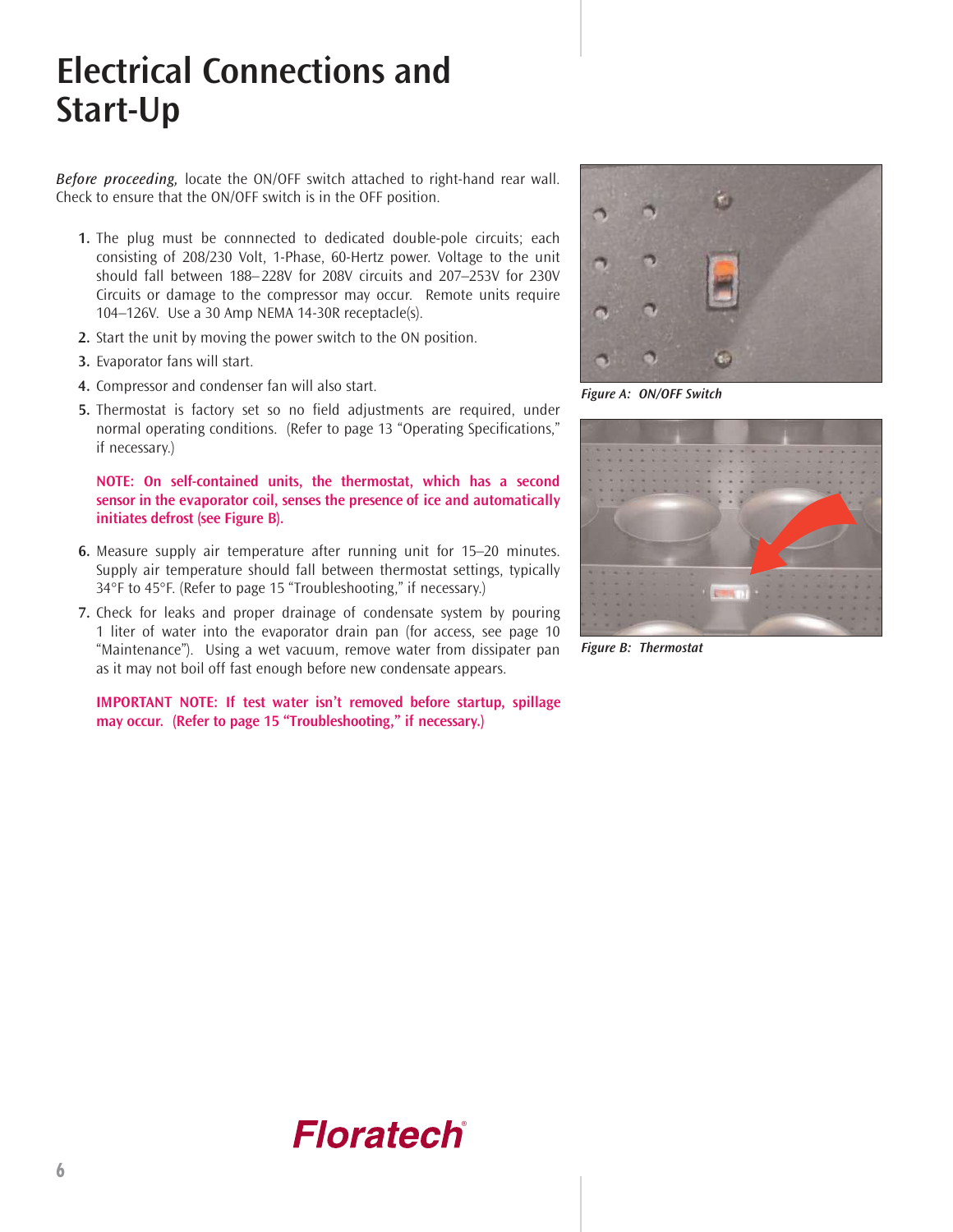# **Electrical Connections and Start-Up**

*Before proceeding,* locate the ON/OFF switch attached to right-hand rear wall. Check to ensure that the ON/OFF switch is in the OFF position.

- **1.** The plug must be connnected to dedicated double-pole circuits; each consisting of 208/230 Volt, 1-Phase, 60-Hertz power. Voltage to the unit should fall between 188– 228V for 208V circuits and 207–253V for 230V Circuits or damage to the compressor may occur. Remote units require 104–126V. Use a 30 Amp NEMA 14-30R receptacle(s).
- **2.** Start the unit by moving the power switch to the ON position.
- **3.** Evaporator fans will start.
- **4.** Compressor and condenser fan will also start.
- **5.** Thermostat is factory set so no field adjustments are required, under normal operating conditions. (Refer to page 13 "Operating Specifications," if necessary.)

#### **NOTE: On self-contained units, the thermostat, which has a second sensor in the evaporator coil, senses the presence of ice and automatically initiates defrost (see Figure B).**

- **6.** Measure supply air temperature after running unit for 15–20 minutes. Supply air temperature should fall between thermostat settings, typically 34°F to 45°F. (Refer to page 15 "Troubleshooting," if necessary.)
- **7.** Check for leaks and proper drainage of condensate system by pouring 1 liter of water into the evaporator drain pan (for access, see page 10 "Maintenance"). Using a wet vacuum, remove water from dissipater pan as it may not boil off fast enough before new condensate appears.

**IMPORTANT NOTE: If test water isn't removed before startup, spillage may occur. (Refer to page 15 "Troubleshooting," if necessary.)**



*Figure A: ON/OFF Switch*



*Figure B: Thermostat*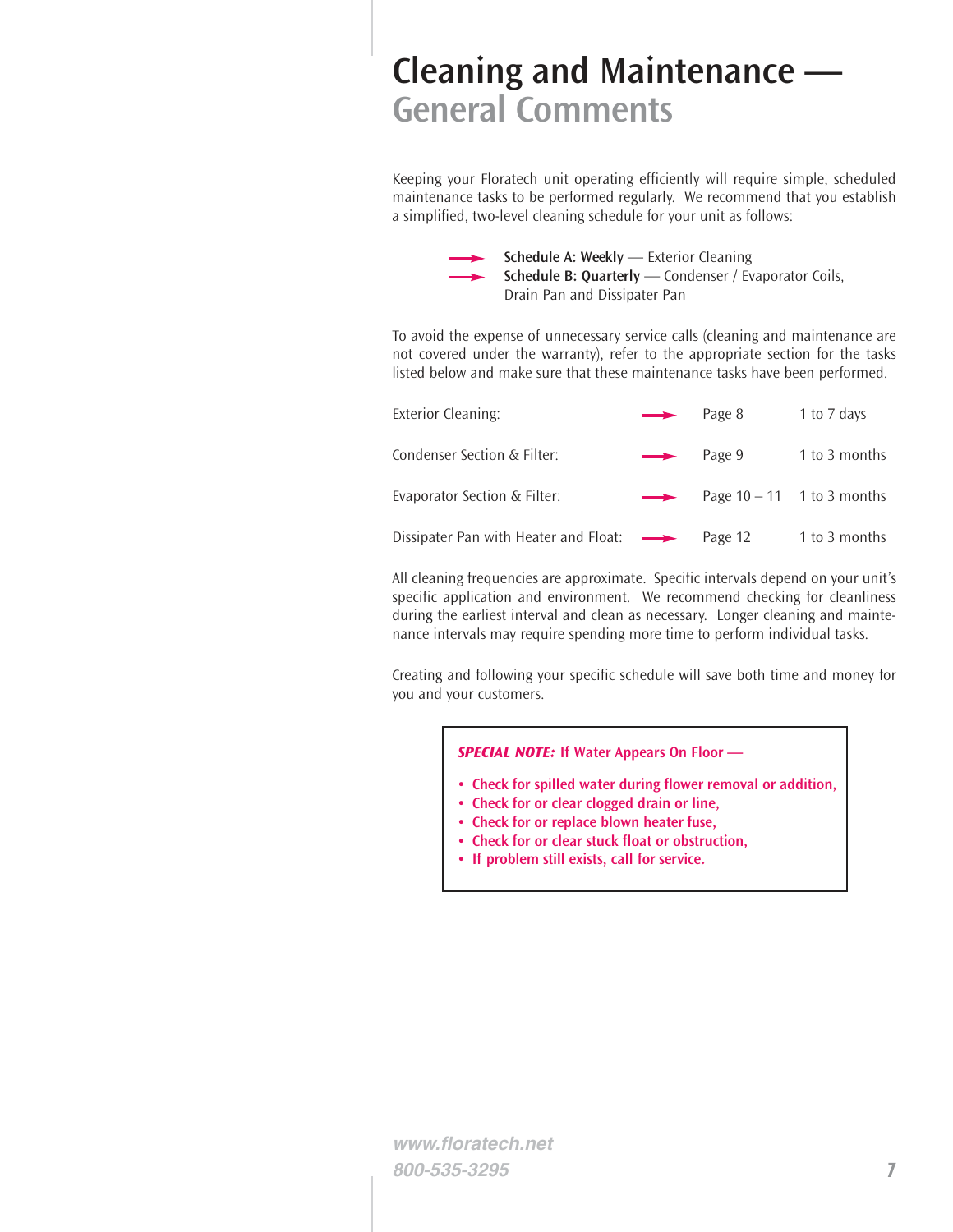## **Cleaning and Maintenance — General Comments**

Keeping your Floratech unit operating efficiently will require simple, scheduled maintenance tasks to be performed regularly. We recommend that you establish a simplified, two-level cleaning schedule for your unit as follows:

> **Schedule A: Weekly** — Exterior Cleaning **Schedule B: Quarterly** — Condenser / Evaporator Coils, Drain Pan and Dissipater Pan

To avoid the expense of unnecessary service calls (cleaning and maintenance are not covered under the warranty), refer to the appropriate section for the tasks listed below and make sure that these maintenance tasks have been performed.

| <b>Exterior Cleaning:</b>                               | $\longrightarrow$ | Page 8  | 1 to 7 days                  |
|---------------------------------------------------------|-------------------|---------|------------------------------|
| Condenser Section & Filter:                             | $\longrightarrow$ | Page 9  | 1 to 3 months                |
| Evaporator Section & Filter:                            | $\rightarrow$     |         | Page $10 - 11$ 1 to 3 months |
| Dissipater Pan with Heater and Float: $\longrightarrow$ |                   | Page 12 | 1 to 3 months                |

All cleaning frequencies are approximate. Specific intervals depend on your unit's specific application and environment. We recommend checking for cleanliness during the earliest interval and clean as necessary. Longer cleaning and maintenance intervals may require spending more time to perform individual tasks.

Creating and following your specific schedule will save both time and money for you and your customers.

*SPECIAL NOTE:* **If Water Appears On Floor —**

- **• Check for spilled water during flower removal or addition,**
- **Check for or clear clogged drain or line,**
- **Check for or replace blown heater fuse,**
- **Check for or clear stuck float or obstruction,**
- **If problem still exists, call for service.**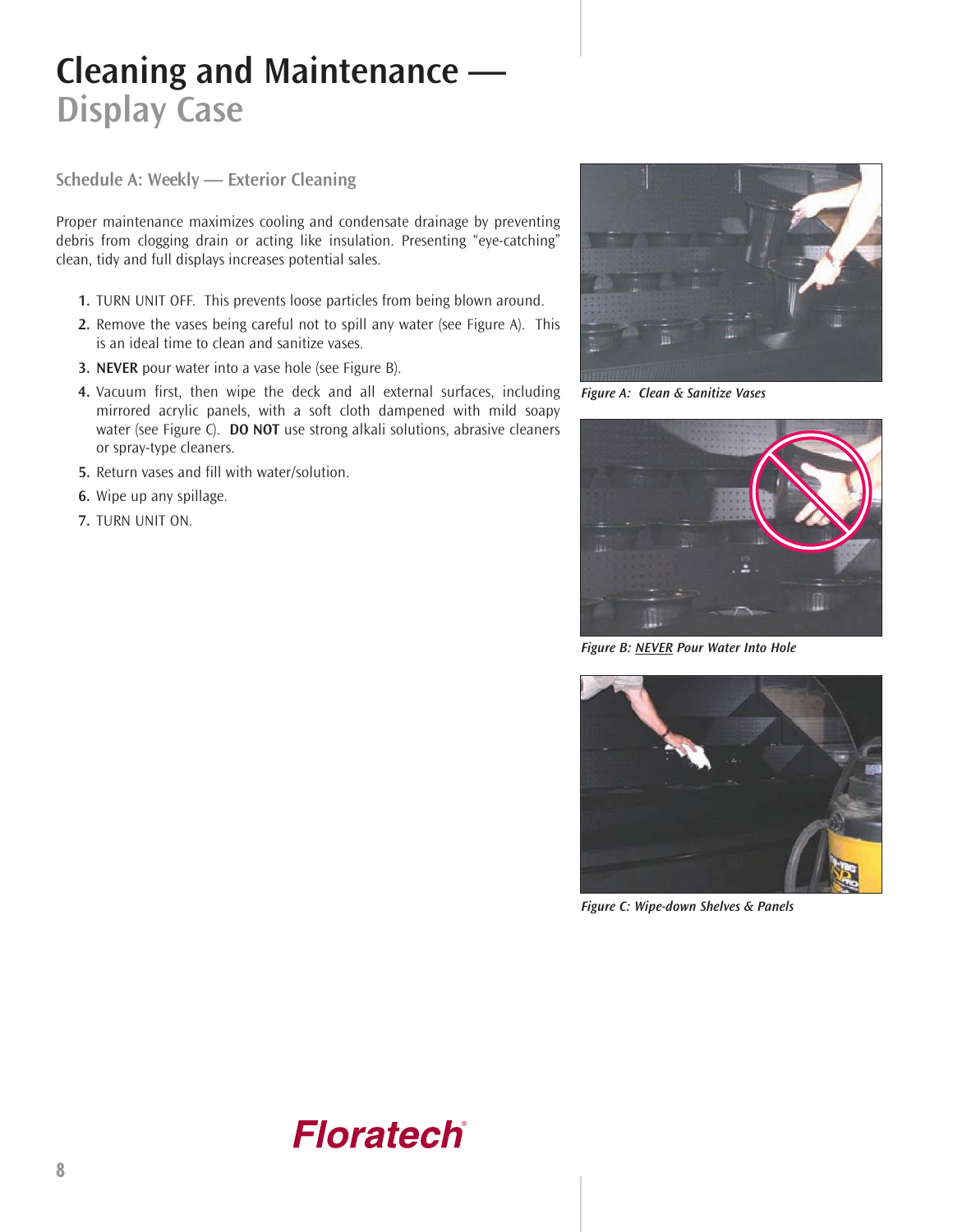# **Cleaning and Maintenance — Display Case**

**Schedule A: Weekly — Exterior Cleaning**

Proper maintenance maximizes cooling and condensate drainage by preventing debris from clogging drain or acting like insulation. Presenting "eye-catching" clean, tidy and full displays increases potential sales.

- **1.** TURN UNIT OFF. This prevents loose particles from being blown around.
- **2.** Remove the vases being careful not to spill any water (see Figure A). This is an ideal time to clean and sanitize vases.
- **3. NEVER** pour water into a vase hole (see Figure B).
- **4.** Vacuum first, then wipe the deck and all external surfaces, including mirrored acrylic panels, with a soft cloth dampened with mild soapy water (see Figure C). **DO NOT** use strong alkali solutions, abrasive cleaners or spray-type cleaners.
- **5.** Return vases and fill with water/solution.
- **6.** Wipe up any spillage.
- **7.** TURN UNIT ON.



*Figure A: Clean & Sanitize Vases*



*Figure B: NEVER Pour Water Into Hole*



*Figure C: Wipe-down Shelves & Panels*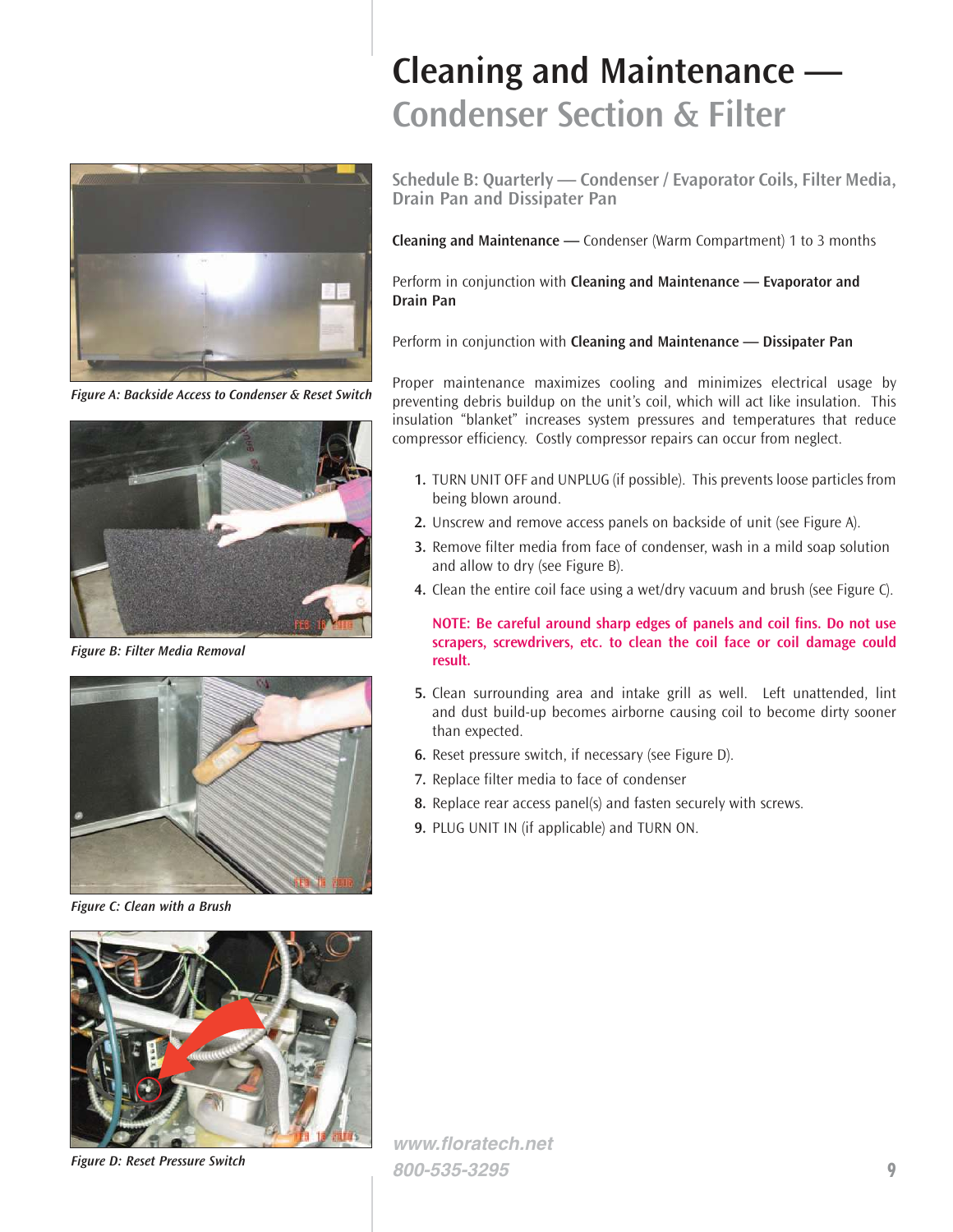

*Figure A: Backside Access to Condenser & Reset Switch*



*Figure B: Filter Media Removal*



*Figure C: Clean with a Brush*



*Figure D: Reset Pressure Switch*

# **Cleaning and Maintenance — Condenser Section & Filter**

**Schedule B: Quarterly — Condenser / Evaporator Coils, Filter Media, Drain Pan and Dissipater Pan**

**Cleaning and Maintenance —** Condenser (Warm Compartment) 1 to 3 months

Perform in conjunction with **Cleaning and Maintenance — Evaporator and Drain Pan**

Perform in conjunction with **Cleaning and Maintenance — Dissipater Pan**

Proper maintenance maximizes cooling and minimizes electrical usage by preventing debris buildup on the unit's coil, which will act like insulation. This insulation "blanket" increases system pressures and temperatures that reduce compressor efficiency. Costly compressor repairs can occur from neglect.

- **1.** TURN UNIT OFF and UNPLUG (if possible). This prevents loose particles from being blown around.
- **2.** Unscrew and remove access panels on backside of unit (see Figure A).
- **3.** Remove filter media from face of condenser, wash in a mild soap solution and allow to dry (see Figure B).
- **4.** Clean the entire coil face using a wet/dry vacuum and brush (see Figure C).

**NOTE: Be careful around sharp edges of panels and coil fins. Do not use scrapers, screwdrivers, etc. to clean the coil face or coil damage could result.**

- **5.** Clean surrounding area and intake grill as well. Left unattended, lint and dust build-up becomes airborne causing coil to become dirty sooner than expected.
- **6.** Reset pressure switch, if necessary (see Figure D).
- **7.** Replace filter media to face of condenser
- **8.** Replace rear access panel(s) and fasten securely with screws.
- **9.** PLUG UNIT IN (if applicable) and TURN ON.

**www.floratech.net 800-535-3295 9**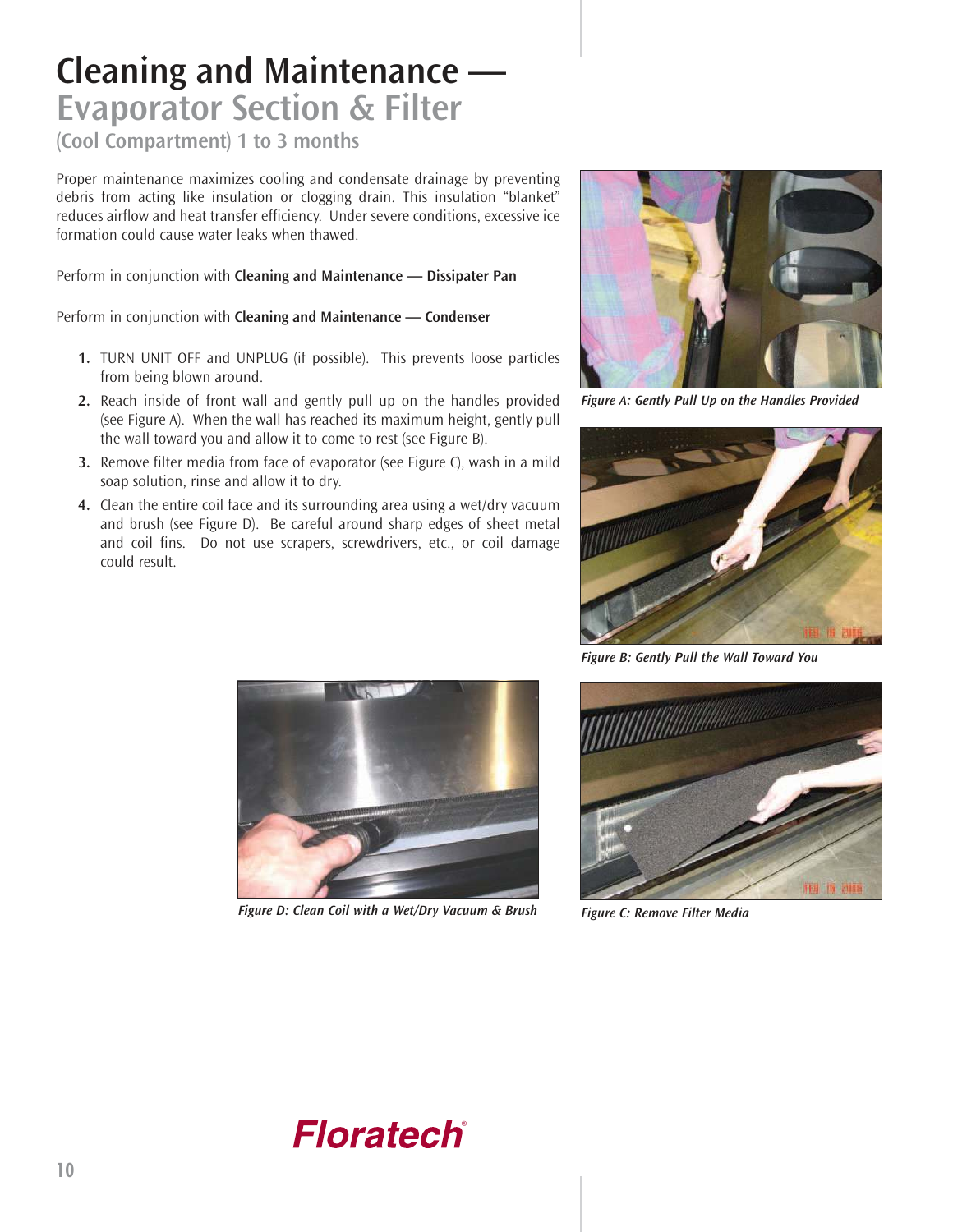### **Cleaning and Maintenance — Evaporator Section & Filter**

**(Cool Compartment) 1 to 3 months**

Proper maintenance maximizes cooling and condensate drainage by preventing debris from acting like insulation or clogging drain. This insulation "blanket" reduces airflow and heat transfer efficiency. Under severe conditions, excessive ice formation could cause water leaks when thawed.

Perform in conjunction with **Cleaning and Maintenance — Dissipater Pan**

Perform in conjunction with **Cleaning and Maintenance — Condenser**

- **1.** TURN UNIT OFF and UNPLUG (if possible). This prevents loose particles from being blown around.
- **2.** Reach inside of front wall and gently pull up on the handles provided (see Figure A). When the wall has reached its maximum height, gently pull the wall toward you and allow it to come to rest (see Figure B).
- **3.** Remove filter media from face of evaporator (see Figure C), wash in a mild soap solution, rinse and allow it to dry.
- **4.** Clean the entire coil face and its surrounding area using a wet/dry vacuum and brush (see Figure D). Be careful around sharp edges of sheet metal and coil fins. Do not use scrapers, screwdrivers, etc., or coil damage could result.



*Figure A: Gently Pull Up on the Handles Provided*



*Figure B: Gently Pull the Wall Toward You*



*Figure D: Clean Coil with a Wet/Dry Vacuum & Brush Figure C: Remove Filter Media*



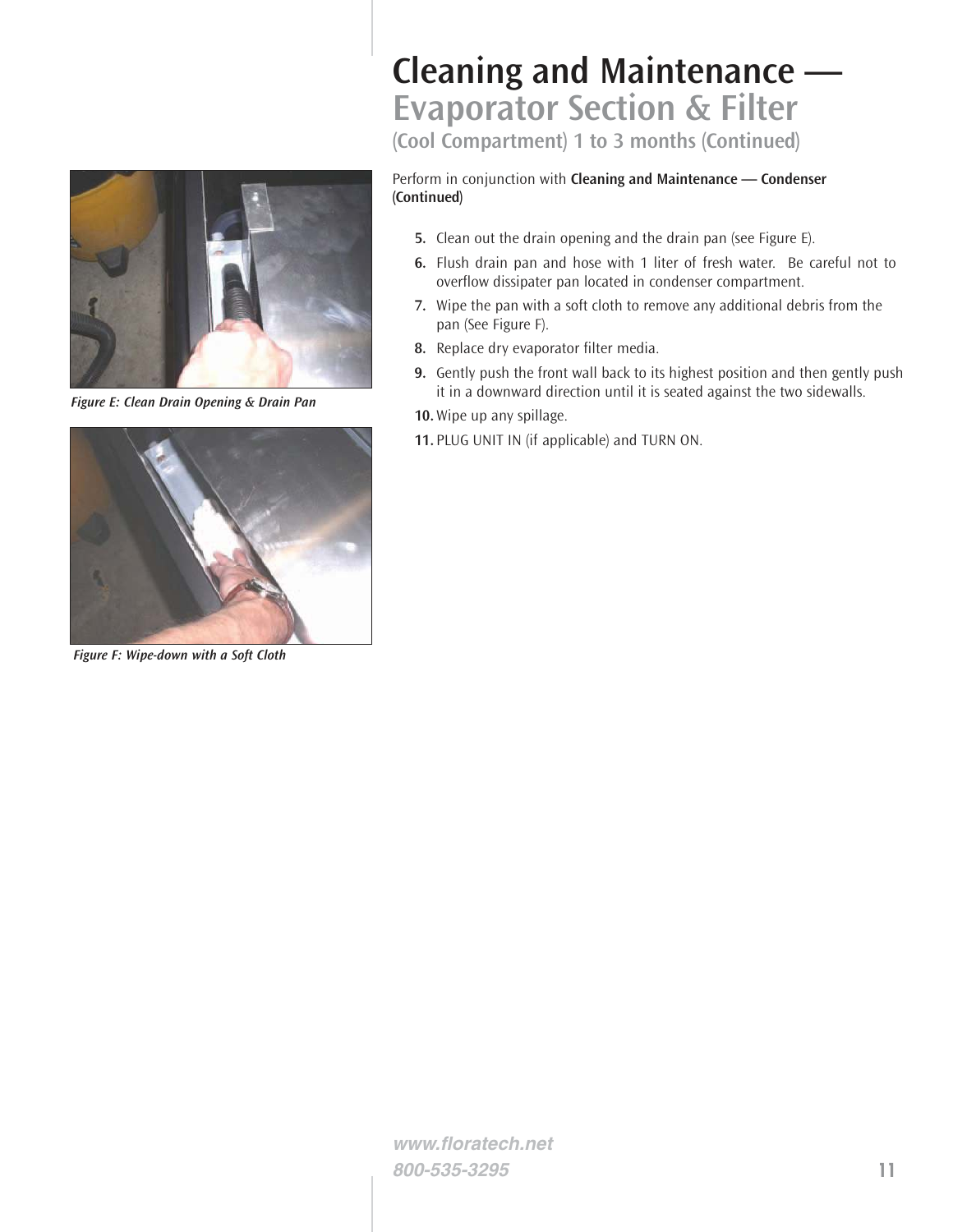

*Figure E: Clean Drain Opening & Drain Pan*



*Figure F: Wipe-down with a Soft Cloth*

## **Cleaning and Maintenance — Evaporator Section & Filter**

**(Cool Compartment) 1 to 3 months (Continued)**

#### Perform in conjunction with **Cleaning and Maintenance — Condenser (Continued)**

- **5.** Clean out the drain opening and the drain pan (see Figure E).
- **6.** Flush drain pan and hose with 1 liter of fresh water. Be careful not to overflow dissipater pan located in condenser compartment.
- **7.** Wipe the pan with a soft cloth to remove any additional debris from the pan (See Figure F).
- **8.** Replace dry evaporator filter media.
- **9.** Gently push the front wall back to its highest position and then gently push it in a downward direction until it is seated against the two sidewalls.
- **10.**Wipe up any spillage.
- **11.** PLUG UNIT IN (if applicable) and TURN ON.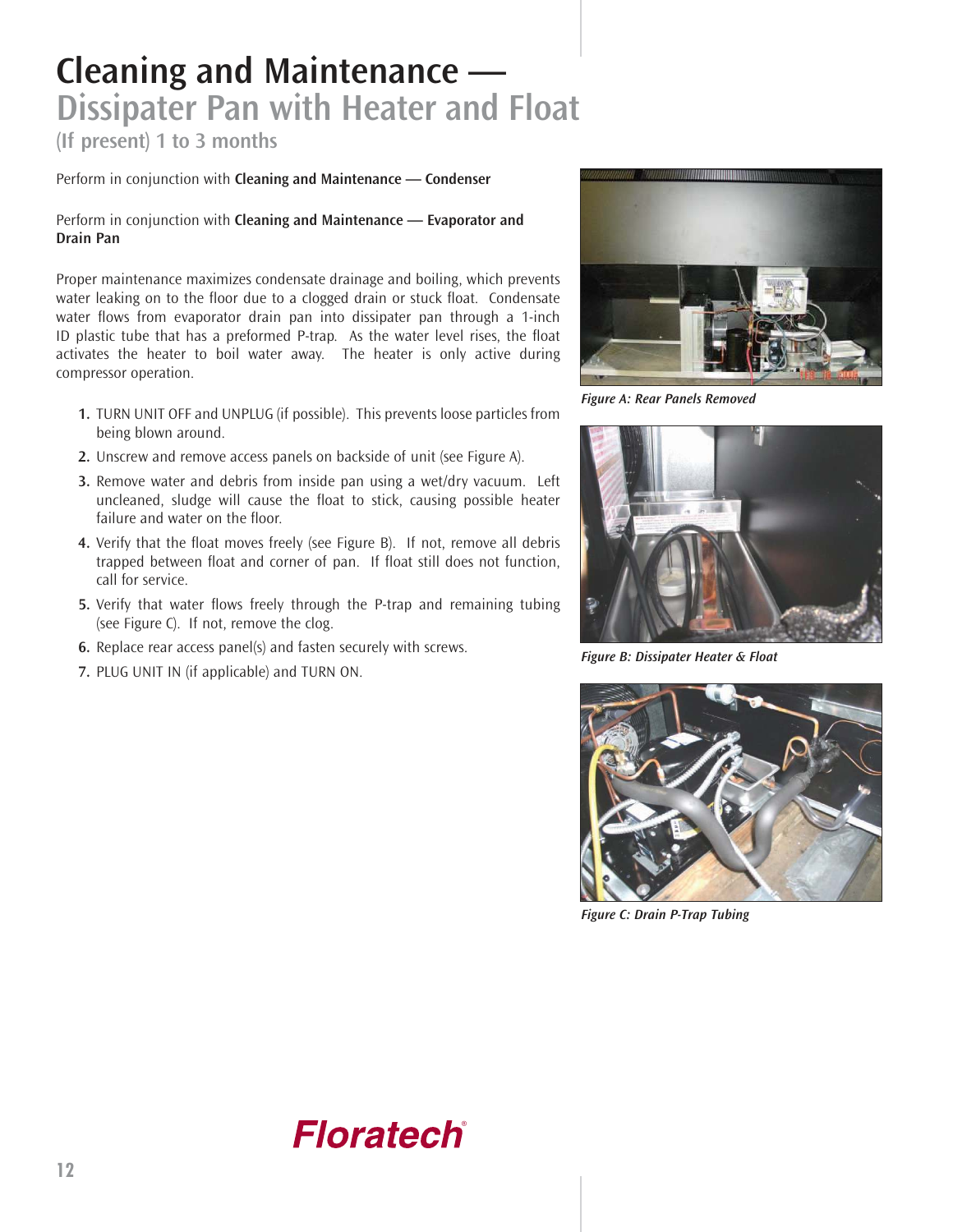## **Cleaning and Maintenance — Dissipater Pan with Heater and Float**

**(If present) 1 to 3 months**

Perform in conjunction with **Cleaning and Maintenance — Condenser**

Perform in conjunction with **Cleaning and Maintenance — Evaporator and Drain Pan**

Proper maintenance maximizes condensate drainage and boiling, which prevents water leaking on to the floor due to a clogged drain or stuck float. Condensate water flows from evaporator drain pan into dissipater pan through a 1-inch ID plastic tube that has a preformed P-trap. As the water level rises, the float activates the heater to boil water away. The heater is only active during compressor operation.

- **1.** TURN UNIT OFF and UNPLUG (if possible). This prevents loose particles from being blown around.
- **2.** Unscrew and remove access panels on backside of unit (see Figure A).
- **3.** Remove water and debris from inside pan using a wet/dry vacuum. Left uncleaned, sludge will cause the float to stick, causing possible heater failure and water on the floor.
- **4.** Verify that the float moves freely (see Figure B). If not, remove all debris trapped between float and corner of pan. If float still does not function, call for service.
- **5.** Verify that water flows freely through the P-trap and remaining tubing (see Figure C). If not, remove the clog.
- **6.** Replace rear access panel(s) and fasten securely with screws.
- **7.** PLUG UNIT IN (if applicable) and TURN ON.



*Figure A: Rear Panels Removed*



*Figure B: Dissipater Heater & Float*



*Figure C: Drain P-Trap Tubing*

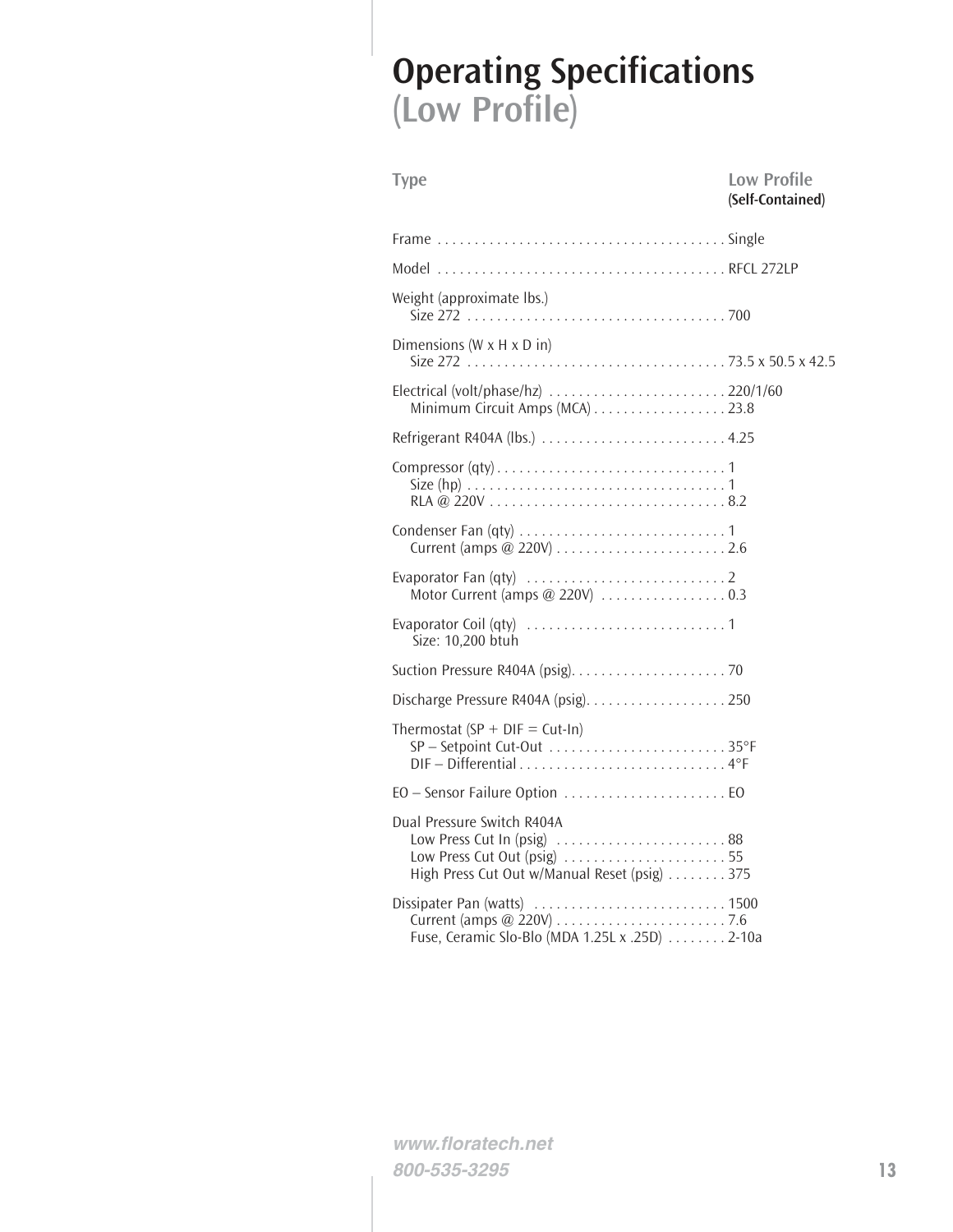# **Operating Specifications (Low Profile)**

| <b>Type</b>                                                                                                                                      | <b>Low Profile</b><br>(Self-Contained) |
|--------------------------------------------------------------------------------------------------------------------------------------------------|----------------------------------------|
|                                                                                                                                                  |                                        |
|                                                                                                                                                  |                                        |
| Weight (approximate lbs.)                                                                                                                        |                                        |
| Dimensions (W $\times$ H $\times$ D in)                                                                                                          |                                        |
| Electrical (volt/phase/hz) 220/1/60<br>Minimum Circuit Amps (MCA) 23.8                                                                           |                                        |
|                                                                                                                                                  |                                        |
|                                                                                                                                                  |                                        |
|                                                                                                                                                  |                                        |
|                                                                                                                                                  |                                        |
| Size: 10,200 btuh                                                                                                                                |                                        |
|                                                                                                                                                  |                                        |
|                                                                                                                                                  |                                        |
| Thermostat (SP + DIF = Cut-In)<br>SP-Setpoint Cut-Out 35°F<br>DIF-Differential4°F                                                                |                                        |
|                                                                                                                                                  |                                        |
| Dual Pressure Switch R404A<br>Low Press Cut In (psig) $\ldots$ 88<br>Low Press Cut Out (psig) 55<br>High Press Cut Out w/Manual Reset (psig) 375 |                                        |
| Fuse, Ceramic Slo-Blo (MDA 1.25L x .25D)  2-10a                                                                                                  |                                        |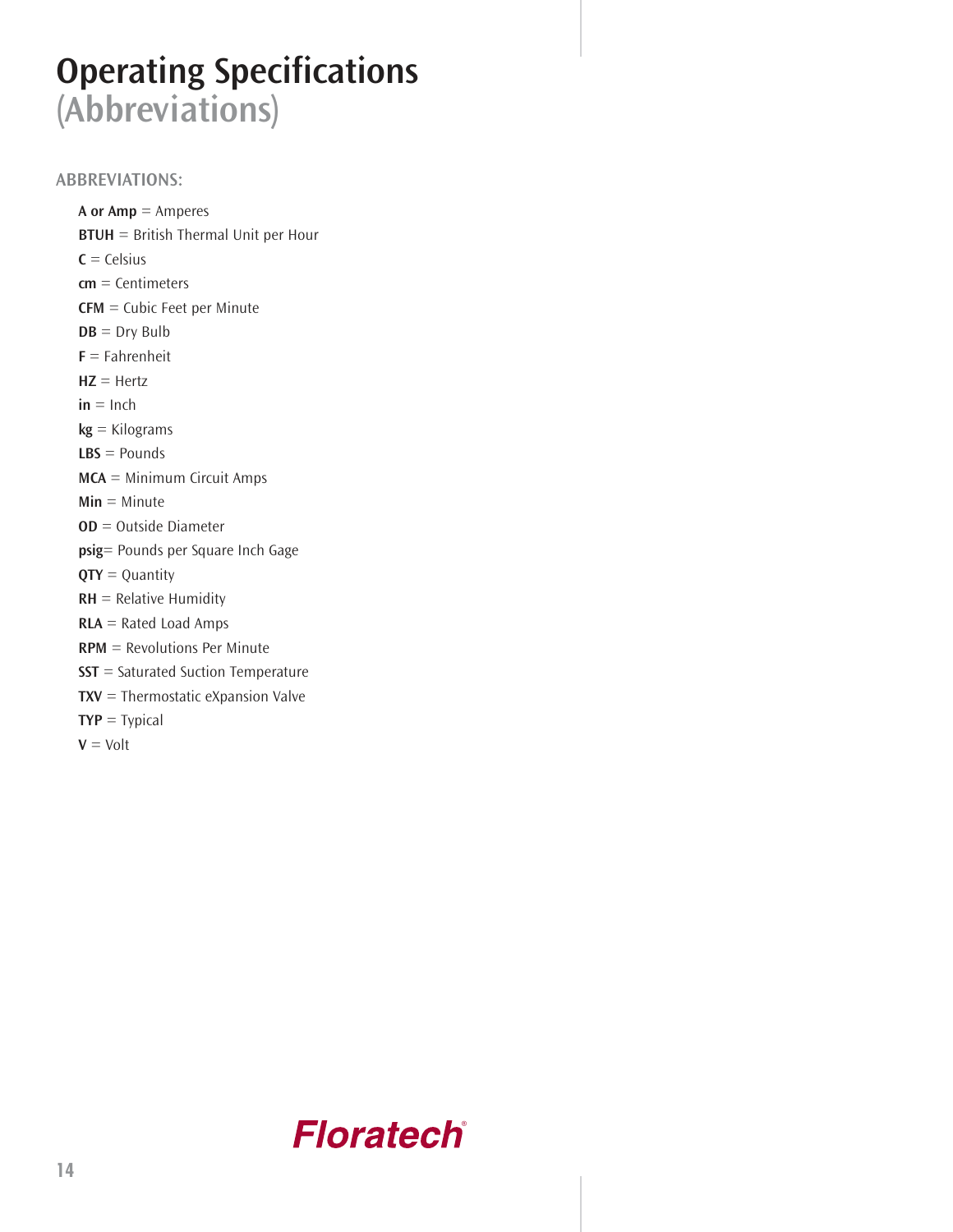# **Operating Specifications (Abbreviations)**

### **ABBREVIATIONS:**

**A or Amp** = Amperes **BTUH** = British Thermal Unit per Hour  $C = C$ elsius **cm** = Centimeters **CFM** = Cubic Feet per Minute  $DB = Dry Bulb$ **F** = Fahrenheit **HZ** = Hertz  $in = Inch$ **kg** = Kilograms **LBS** = Pounds **MCA** = Minimum Circuit Amps **Min** = Minute **OD** = Outside Diameter **psig**= Pounds per Square Inch Gage **QTY** = Quantity **RH** = Relative Humidity **RLA** = Rated Load Amps **RPM** = Revolutions Per Minute **SST** = Saturated Suction Temperature **TXV** = Thermostatic eXpansion Valve **TYP** = Typical  $V = Volt$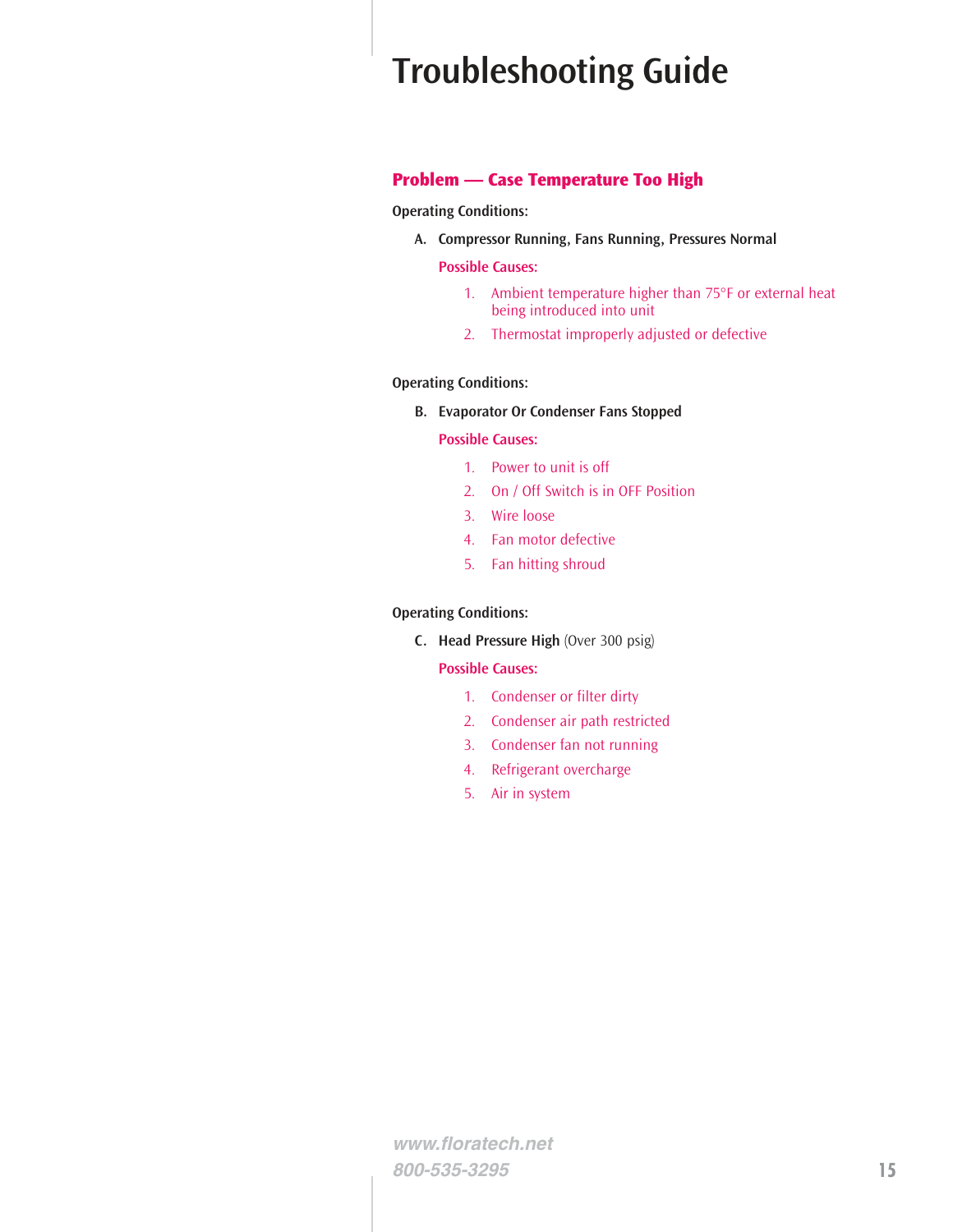# **Troubleshooting Guide**

#### **Problem — Case Temperature Too High**

**Operating Conditions:**

**A. Compressor Running, Fans Running, Pressures Normal**

#### **Possible Causes:**

- 1. Ambient temperature higher than 75°F or external heat being introduced into unit
- 2. Thermostat improperly adjusted or defective

#### **Operating Conditions:**

**B. Evaporator Or Condenser Fans Stopped**

#### **Possible Causes:**

- 1. Power to unit is off
- 2. On / Off Switch is in OFF Position
- 3. Wire loose
- 4. Fan motor defective
- 5. Fan hitting shroud

#### **Operating Conditions:**

**C. Head Pressure High** (Over 300 psig)

#### **Possible Causes:**

- 1. Condenser or filter dirty
- 2. Condenser air path restricted
- 3. Condenser fan not running
- 4. Refrigerant overcharge
- 5. Air in system

**www.floratech.net 800-535-3295 15**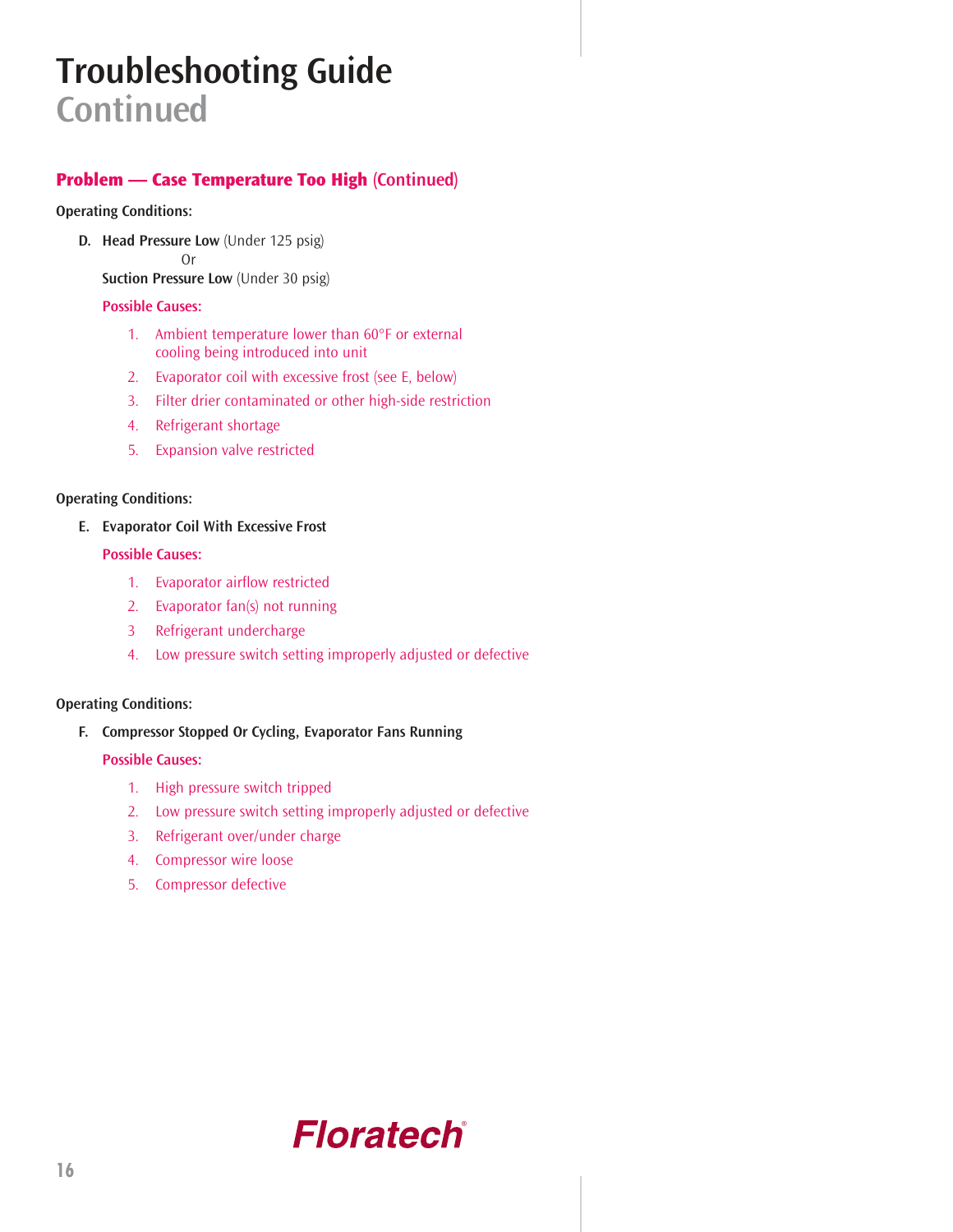# **Troubleshooting Guide Continued**

### **Problem — Case Temperature Too High (Continued)**

#### **Operating Conditions:**

**D. Head Pressure Low** (Under 125 psig)

Or

**Suction Pressure Low** (Under 30 psig)

#### **Possible Causes:**

- 1. Ambient temperature lower than 60°F or external cooling being introduced into unit
- 2. Evaporator coil with excessive frost (see E, below)
- 3. Filter drier contaminated or other high-side restriction
- 4. Refrigerant shortage
- 5. Expansion valve restricted

#### **Operating Conditions:**

#### **E. Evaporator Coil With Excessive Frost**

#### **Possible Causes:**

- 1. Evaporator airflow restricted
- 2. Evaporator fan(s) not running
- 3 Refrigerant undercharge
- 4. Low pressure switch setting improperly adjusted or defective

#### **Operating Conditions:**

### **F. Compressor Stopped Or Cycling, Evaporator Fans Running**

#### **Possible Causes:**

- 1. High pressure switch tripped
- 2. Low pressure switch setting improperly adjusted or defective
- 3. Refrigerant over/under charge
- 4. Compressor wire loose
- 5. Compressor defective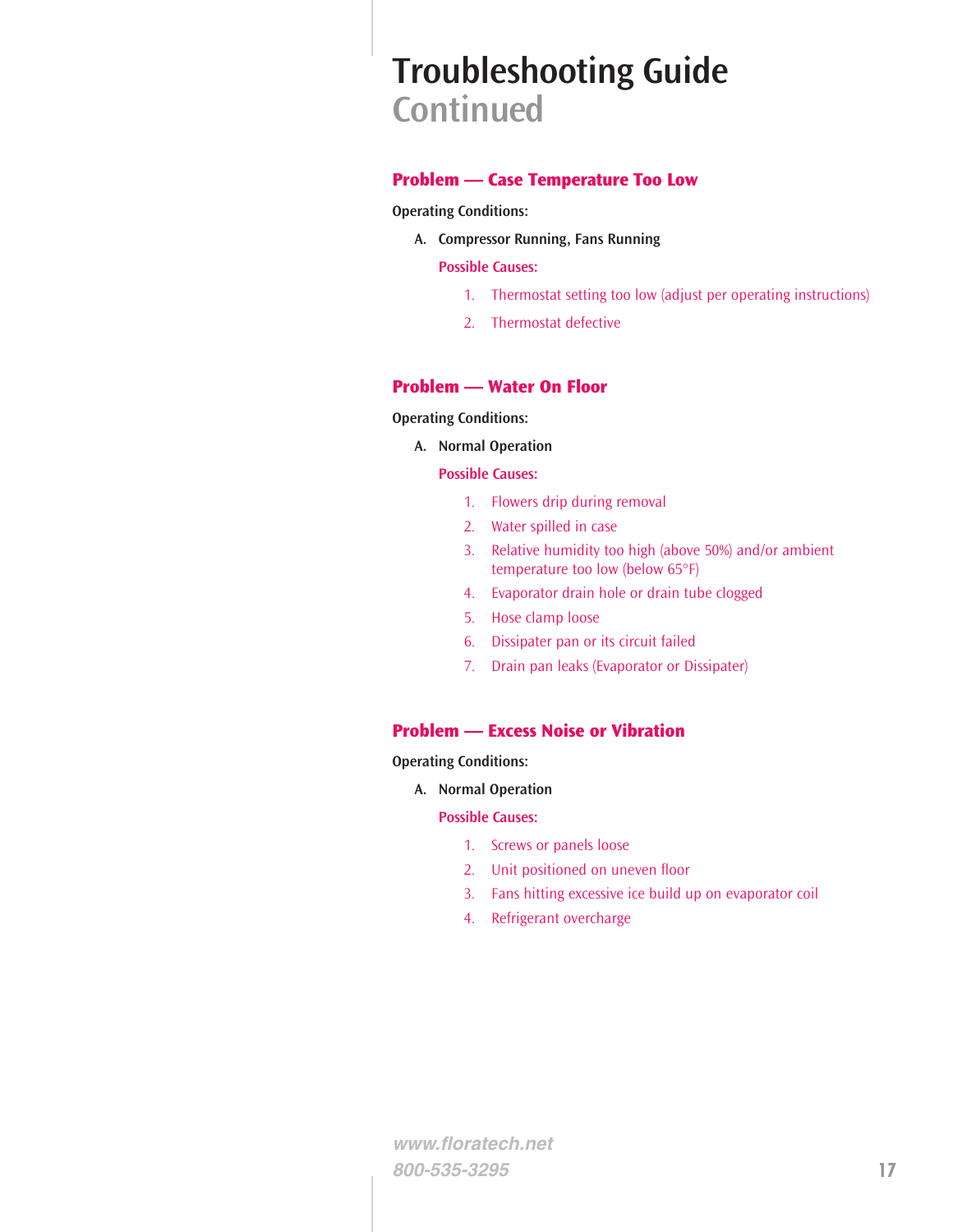## **Troubleshooting Guide Continued**

### **Problem — Case Temperature Too Low**

**Operating Conditions:**

**A. Compressor Running, Fans Running**

#### **Possible Causes:**

- 1. Thermostat setting too low (adjust per operating instructions)
- 2. Thermostat defective

#### **Problem — Water On Floor**

#### **Operating Conditions:**

**A. Normal Operation**

#### **Possible Causes:**

- 1. Flowers drip during removal
- 2. Water spilled in case
- 3. Relative humidity too high (above 50%) and/or ambient temperature too low (below 65°F)
- 4. Evaporator drain hole or drain tube clogged
- 5. Hose clamp loose
- 6. Dissipater pan or its circuit failed
- 7. Drain pan leaks (Evaporator or Dissipater)

### **Problem — Excess Noise or Vibration**

#### **Operating Conditions:**

**A. Normal Operation**

#### **Possible Causes:**

- 1. Screws or panels loose
- 2. Unit positioned on uneven floor
- 3. Fans hitting excessive ice build up on evaporator coil
- 4. Refrigerant overcharge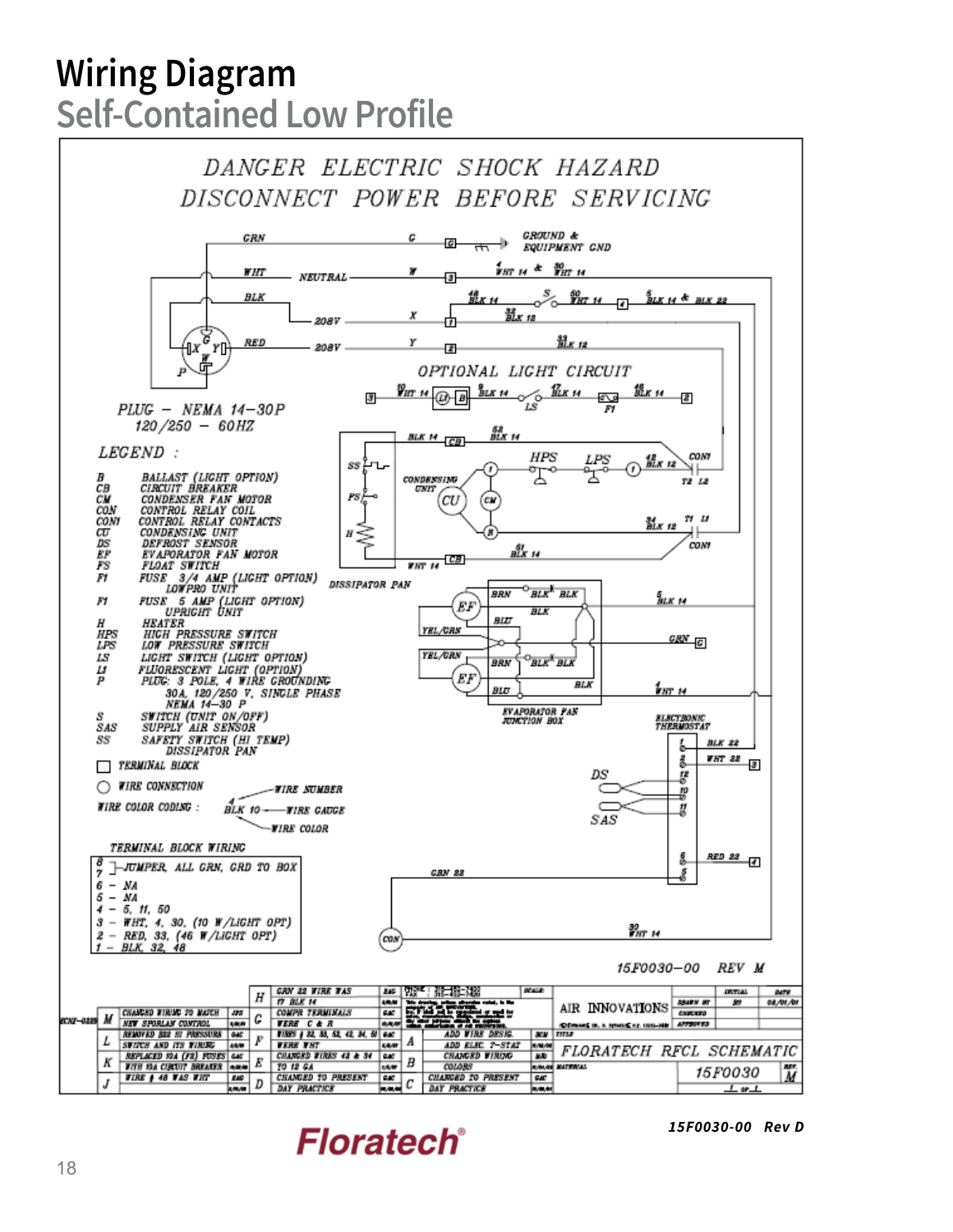# **Wiring Diagram Self-Contained Low Profile**

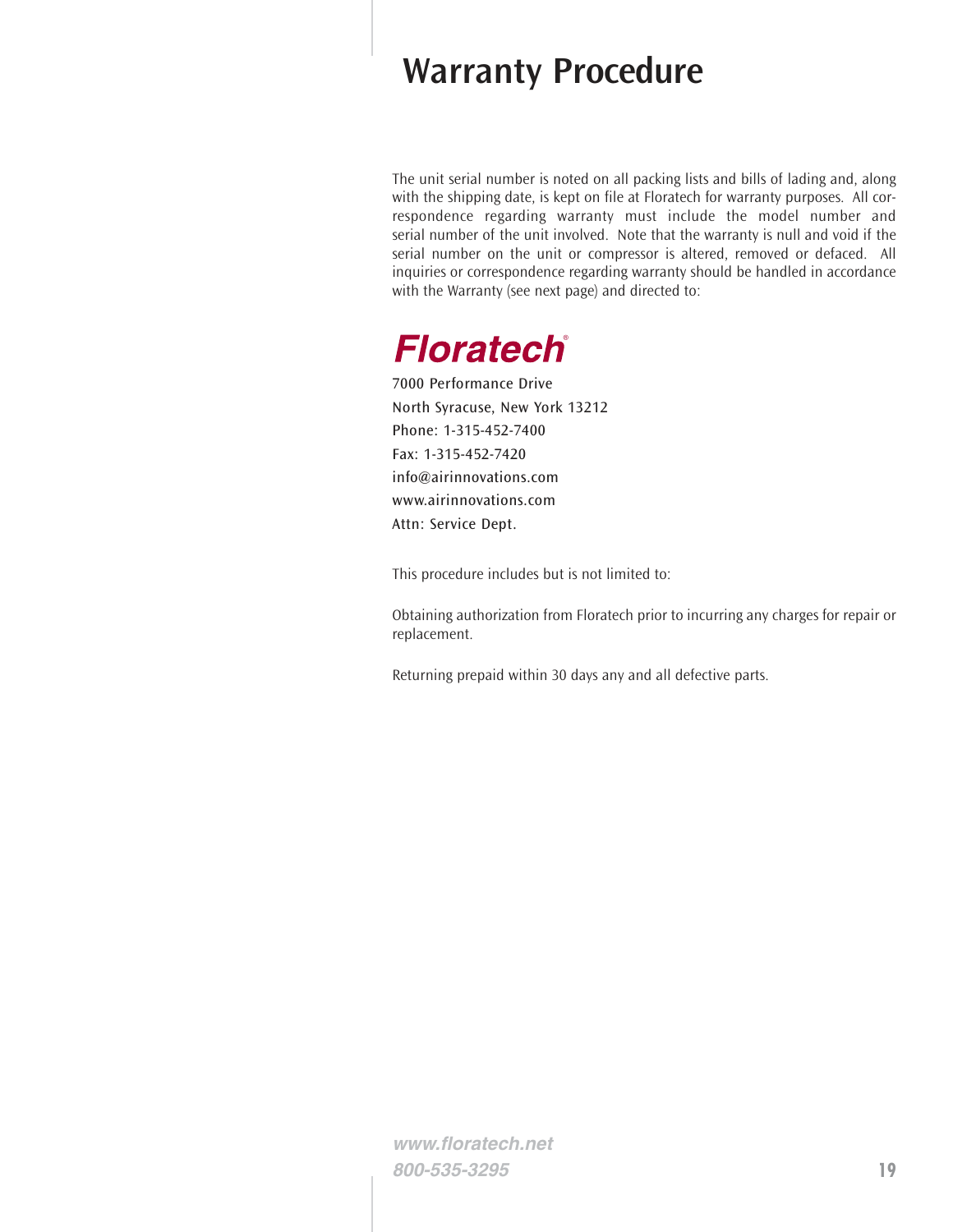### **Warranty Procedure**

The unit serial number is noted on all packing lists and bills of lading and, along with the shipping date, is kept on file at Floratech for warranty purposes. All correspondence regarding warranty must include the model number and serial number of the unit involved. Note that the warranty is null and void if the serial number on the unit or compressor is altered, removed or defaced. All inquiries or correspondence regarding warranty should be handled in accordance with the Warranty (see next page) and directed to:

### **Floratech**®

7000 Performance Drive North Syracuse, New York 13212 Phone: 1-315-452-7400 Fax: 1-315-452-7420 info@airinnovations.com www.airinnovations.com Attn: Service Dept.

This procedure includes but is not limited to:

Obtaining authorization from Floratech prior to incurring any charges for repair or replacement.

Returning prepaid within 30 days any and all defective parts.

**www.floratech.net 800-535-3295 19**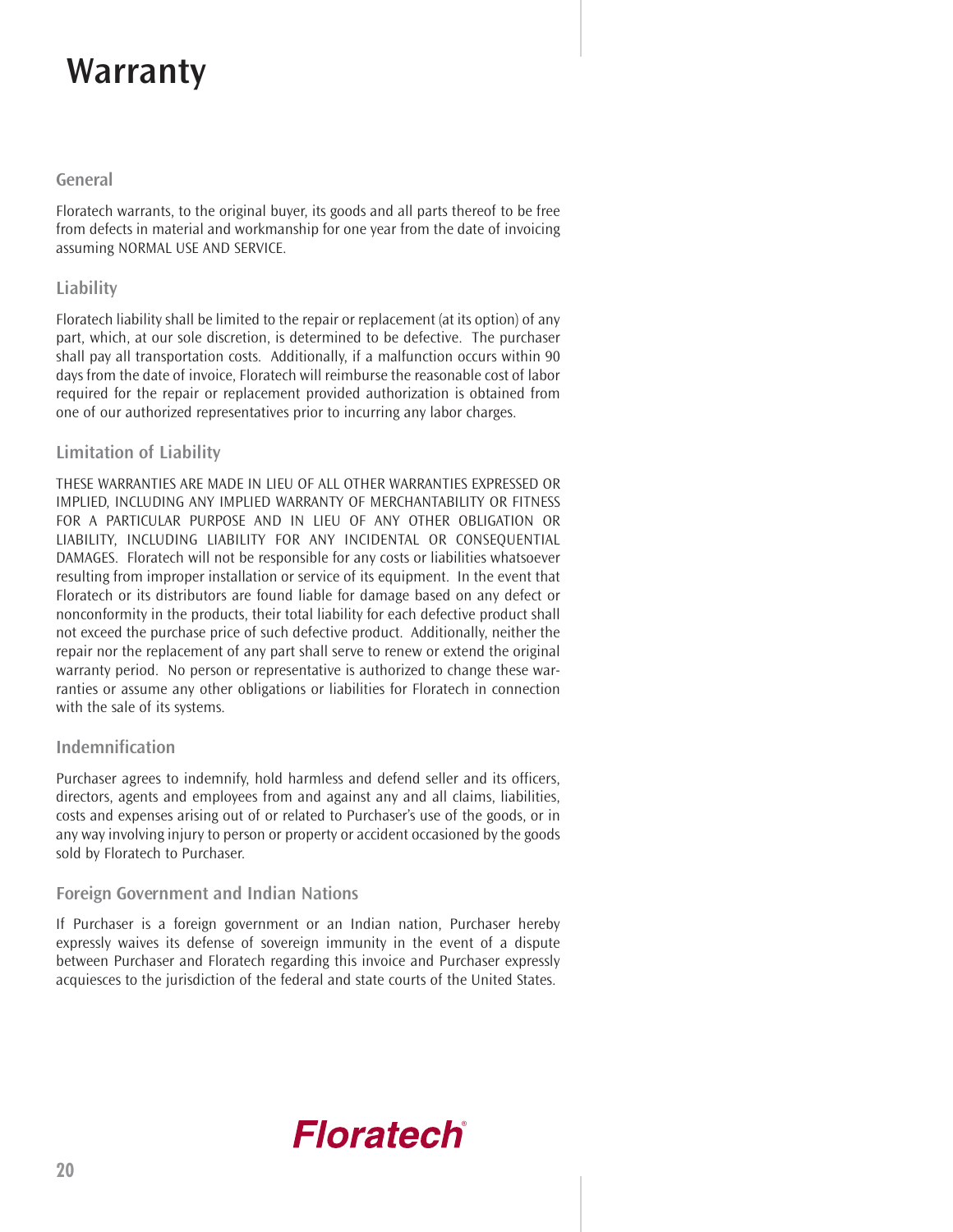# **Warranty**

### **General**

Floratech warrants, to the original buyer, its goods and all parts thereof to be free from defects in material and workmanship for one year from the date of invoicing assuming NORMAL USE AND SERVICE.

### **Liability**

Floratech liability shall be limited to the repair or replacement (at its option) of any part, which, at our sole discretion, is determined to be defective. The purchaser shall pay all transportation costs. Additionally, if a malfunction occurs within 90 days from the date of invoice, Floratech will reimburse the reasonable cost of labor required for the repair or replacement provided authorization is obtained from one of our authorized representatives prior to incurring any labor charges.

### **Limitation of Liability**

THESE WARRANTIES ARE MADE IN LIEU OF ALL OTHER WARRANTIES EXPRESSED OR IMPLIED, INCLUDING ANY IMPLIED WARRANTY OF MERCHANTABILITY OR FITNESS FOR A PARTICULAR PURPOSE AND IN LIEU OF ANY OTHER OBLIGATION OR LIABILITY, INCLUDING LIABILITY FOR ANY INCIDENTAL OR CONSEQUENTIAL DAMAGES. Floratech will not be responsible for any costs or liabilities whatsoever resulting from improper installation or service of its equipment. In the event that Floratech or its distributors are found liable for damage based on any defect or nonconformity in the products, their total liability for each defective product shall not exceed the purchase price of such defective product. Additionally, neither the repair nor the replacement of any part shall serve to renew or extend the original warranty period. No person or representative is authorized to change these warranties or assume any other obligations or liabilities for Floratech in connection with the sale of its systems.

### **Indemnification**

Purchaser agrees to indemnify, hold harmless and defend seller and its officers, directors, agents and employees from and against any and all claims, liabilities, costs and expenses arising out of or related to Purchaser's use of the goods, or in any way involving injury to person or property or accident occasioned by the goods sold by Floratech to Purchaser.

### **Foreign Government and Indian Nations**

If Purchaser is a foreign government or an Indian nation, Purchaser hereby expressly waives its defense of sovereign immunity in the event of a dispute between Purchaser and Floratech regarding this invoice and Purchaser expressly acquiesces to the jurisdiction of the federal and state courts of the United States.